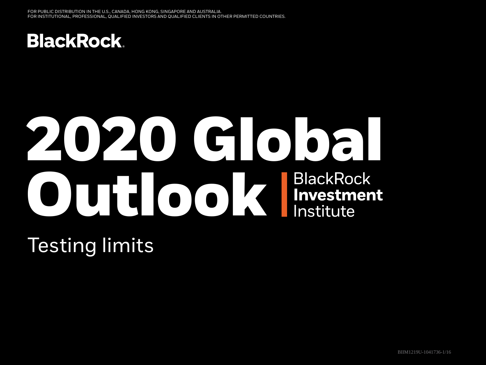

# **2020 Global OUTLOOK** BlackRock<br>Investment

Testing limits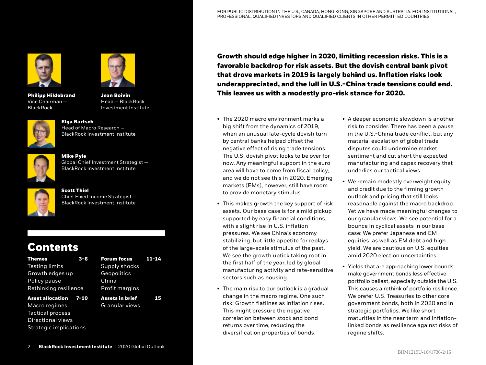

**Philipp Hildebrand** Vice Chairman — BlackRock



**Jean Boivin**  Head — BlackRock Investment Institute



**Elga Bartsch** Head of Macro Research — BlackRock Investment Institute



**Mike Pyle** Global Chief Investment Strategist — BlackRock Investment Institute



## **Scott Thiel** Chief Fixed Income Strategist — BlackRock Investment Institute

# **Contents**

| Themes                | $3 - 6$ |
|-----------------------|---------|
| Testing limits        |         |
| Growth edges up       |         |
| Policy pause          |         |
| Rethinking resilience |         |

**Asset allocation 7-10**

Macro regimes Tactical process Directional views Strategic implications

| .              |  |
|----------------|--|
| Supply shocks  |  |
| Geopolitics    |  |
| China          |  |
| Profit margins |  |
|                |  |

**Forum focus 11-14**

**Assets in brief 15** Granular views

**Growth should edge higher in 2020, limiting recession risks. This is a favorable backdrop for risk assets. But the dovish central bank pivot that drove markets in 2019 is largely behind us. Inflation risks look underappreciated, and the lull in U.S.-China trade tensions could end. This leaves us with a modestly pro-risk stance for 2020.**

- The 2020 macro environment marks a big shift from the dynamics of 2019, when an unusual late-cycle dovish turn by central banks helped offset the negative effect of rising trade tensions. The U.S. dovish pivot looks to be over for now. Any meaningful support in the euro area will have to come from fiscal policy, and we do not see this in 2020. Emerging markets (EMs), however, still have room to provide monetary stimulus.
- This makes growth the key support of risk assets. Our base case is for a mild pickup supported by easy financial conditions, with a slight rise in U.S. inflation pressures. We see China's economy stabilizing, but little appetite for replays of the large-scale stimulus of the past. We see the growth uptick taking root in the first half of the year, led by global manufacturing activity and rate-sensitive sectors such as housing.
- The main risk to our outlook is a gradual change in the macro regime. One such risk: Growth flatlines as inflation rises. This might pressure the negative correlation between stock and bond returns over time, reducing the diversification properties of bonds.
- A deeper economic slowdown is another risk to consider. There has been a pause in the U.S.-China trade conflict, but any material escalation of global trade disputes could undermine market sentiment and cut short the expected manufacturing and capex recovery that underlies our tactical views.
- We remain modestly overweight equity and credit due to the firming growth outlook and pricing that still looks reasonable against the macro backdrop. Yet we have made meaningful changes to our granular views. We see potential for a bounce in cyclical assets in our base case: We prefer Japanese and EM equities, as well as EM debt and high yield. We are cautious on U.S. equities amid 2020 election uncertainties.
- Yields that are approaching lower bounds make government bonds less effective portfolio ballast, especially outside the U.S. This causes a rethink of portfolio resilience. We prefer U.S. Treasuries to other core government bonds, both in 2020 and in strategic portfolios. We like short maturities in the near term and inflationlinked bonds as resilience against risks of regime shifts.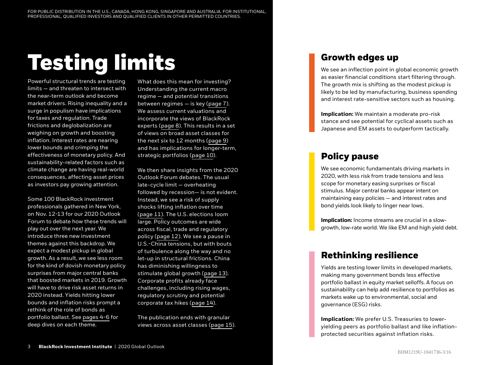# **Testing limits**

Powerful structural trends are testing limits — and threaten to intersect with the near-term outlook and become market drivers. Rising inequality and a surge in populism have implications for taxes and regulation. Trade frictions and deglobalization are weighing on growth and boosting inflation. Interest rates are nearing lower bounds and crimping the effectiveness of monetary policy. And sustainability-related factors such as climate change are having real-world consequences, affecting asset prices as investors pay growing attention.

Some 100 BlackRock investment professionals gathered in New York, on Nov. 12-13 for our 2020 Outlook Forum to debate how these trends will play out over the next year. We introduce three new investment themes against this backdrop. We expect a modest pickup in global growth. As a result, we see less room for the kind of dovish monetary policy surprises from major central banks that boosted markets in 2019. Growth will have to drive risk asset returns in 2020 instead. Yields hitting lower bounds and inflation risks prompt a rethink of the role of bonds as portfolio ballast. See pages 4-6 for deep dives on each theme.

What does this mean for investing? Understanding the current macro regime — and potential transitions between regimes — is key (page 7). We assess current valuations and incorporate the views of BlackRock experts (page 8). This results in a set of views on broad asset classes for the next six to 12 months (page 9) and has implications for longer-term, strategic portfolios (page 10).

We then share insights from the 2020 Outlook Forum debates. The usual late-cycle limit — overheating followed by recession— is not evident. Instead, we see a risk of supply shocks lifting inflation over time (page 11). The U.S. elections loom large. Policy outcomes are wide across fiscal, trade and regulatory policy (page 12). We see a pause in U.S.-China tensions, but with bouts of turbulence along the way and no let-up in structural frictions. China has diminishing willingness to stimulate global growth (page 13). Corporate profits already face challenges, including rising wages, regulatory scrutiny and potential corporate tax hikes (page 14).

The publication ends with granular views across asset classes (page 15).

# **Growth edges up**

We see an inflection point in global economic growth as easier financial conditions start filtering through. The growth mix is shifting as the modest pickup is likely to be led by manufacturing, business spending and interest rate-sensitive sectors such as housing.

**Implication:** We maintain a moderate pro-risk stance and see potential for cyclical assets such as Japanese and EM assets to outperform tactically.

# **Policy pause**

We see economic fundamentals driving markets in 2020, with less risk from trade tensions and less scope for monetary easing surprises or fiscal stimulus. Major central banks appear intent on maintaining easy policies — and interest rates and bond yields look likely to linger near lows.

**Implication:** Income streams are crucial in a slowgrowth, low-rate world. We like EM and high yield debt.

# **Rethinking resilience**

Yields are testing lower limits in developed markets, making many government bonds less effective portfolio ballast in equity market selloffs. A focus on sustainability can help add resilience to portfolios as markets wake up to environmental, social and governance (ESG) risks.

**Implication:** We prefer U.S. Treasuries to loweryielding peers as portfolio ballast and like inflationprotected securities against inflation risks.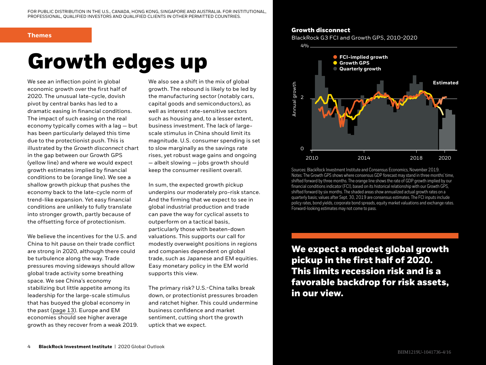## **Themes**

# **Growth edges up**

We see an inflection point in global economic growth over the first half of 2020. The unusual late-cycle, dovish pivot by central banks has led to a dramatic easing in financial conditions. The impact of such easing on the real economy typically comes with a lag — but has been particularly delayed this time due to the protectionist push. This is illustrated by the *Growth disconnect* chart in the gap between our Growth GPS (yellow line) and where we would expect growth estimates implied by financial conditions to be (orange line). We see a shallow growth pickup that pushes the economy back to the late-cycle norm of trend-like expansion. Yet easy financial conditions are unlikely to fully translate into stronger growth, partly because of the offsetting force of protectionism.

We believe the incentives for the U.S. and China to hit pause on their trade conflict are strong in 2020, although there could be turbulence along the way. Trade pressures moving sideways should allow global trade activity some breathing space. We see China's economy stabilizing but little appetite among its leadership for the large-scale stimulus that has buoyed the global economy in the past (page 13). Europe and EM economies should see higher average growth as they recover from a weak 2019.

We also see a shift in the mix of global growth. The rebound is likely to be led by the manufacturing sector (notably cars, capital goods and semiconductors), as well as interest rate-sensitive sectors such as housing and, to a lesser extent, business investment. The lack of largescale stimulus in China should limit its magnitude. U.S. consumer spending is set to slow marginally as the savings rate rises, yet robust wage gains and ongoing — albeit slowing — jobs growth should keep the consumer resilient overall.

In sum, the expected growth pickup underpins our moderately pro-risk stance. And the firming that we expect to see in global industrial production and trade can pave the way for cyclical assets to outperform on a tactical basis, particularly those with beaten-down valuations. This supports our call for modestly overweight positions in regions and companies dependent on global trade, such as Japanese and EM equities. Easy monetary policy in the EM world supports this view.

The primary risk? U.S.-China talks break down, or protectionist pressures broaden and ratchet higher. This could undermine business confidence and market sentiment, cutting short the growth uptick that we expect.

# **Growth disconnect**

BlackRock G3 FCI and Growth GPS, 2010-2020



Sources: BlackRock Investment Institute and Consensus Economics, November 2019. Notes: The Growth GPS shows where consensus GDP forecast may stand in three months' time, shifted forward by three months. The orange line shows the rate of GDP growth implied by our financial conditions indicator (FCI), based on its historical relationship with our Growth GPS, shifted forward by six months. The shaded areas show annualized actual growth rates on a quarterly basis; values after Sept. 30, 2019 are consensus estimates. The FCI inputs include policy rates, bond yields, corporate bond spreads, equity market valuations and exchange rates. Forward-looking estimates may not come to pass.

**We expect a modest global growth pickup in the first half of 2020. This limits recession risk and is a favorable backdrop for risk assets, in our view.**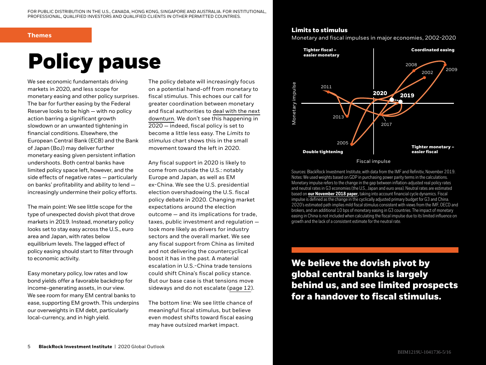## **Themes**

# **Policy pause**

We see economic fundamentals driving markets in 2020, and less scope for monetary easing and other policy surprises. The bar for further easing by the Federal Reserve looks to be high — with no policy action barring a significant growth slowdown or an unwanted tightening in financial conditions. Elsewhere, the European Central Bank (ECB) and the Bank of Japan (BoJ) may deliver further monetary easing given persistent inflation undershoots. Both central banks have limited policy space left, however, and the side effects of negative rates — particularly on banks' profitability and ability to lend increasingly undermine their policy efforts.

The main point: We see little scope for the type of unexpected dovish pivot that drove markets in 2019. Instead, monetary policy looks set to stay easy across the U.S., euro area and Japan, with rates below equilibrium levels. The lagged effect of policy easing should start to filter through to economic activity.

Easy monetary policy, low rates and low bond yields offer a favorable backdrop for income-generating assets, in our view. We see room for many EM central banks to ease, supporting EM growth. This underpins our overweights in EM debt, particularly local-currency, and in high yield.

The policy debate will increasingly focus on a potential hand-off from monetary to fiscal stimulus. This echoes our call for greater coordination between monetary and fiscal authorities to [deal with the next](https://www.blackrock.com/corporate/insights/blackrock-investment-institute/publications/global-macro-outlook)  [downturn](https://www.blackrock.com/corporate/insights/blackrock-investment-institute/publications/global-macro-outlook). We don't see this happening in 2020 — indeed, fiscal policy is set to become a little less easy. The *Limits to stimulus* chart shows this in the small movement toward the left in 2020.

Any fiscal support in 2020 is likely to come from outside the U.S.: notably Europe and Japan, as well as EM ex-China. We see the U.S. presidential election overshadowing the U.S. fiscal policy debate in 2020. Changing market expectations around the election outcome — and its implications for trade, taxes, public investment and regulation look more likely as drivers for industry sectors and the overall market. We see any fiscal support from China as limited and not delivering the countercyclical boost it has in the past. A material escalation in U.S.-China trade tensions could shift China's fiscal policy stance. But our base case is that tensions move sideways and do not escalate (page 12).

The bottom line: We see little chance of meaningful fiscal stimulus, but believe even modest shifts toward fiscal easing may have outsized market impact.

# **Limits to stimulus**

Monetary and fiscal impulses in major economies, 2002-2020



Sources: BlackRock Investment Institute, with data from the IMF and Refinitiv, November 2019. Notes: We used weights based on GDP in purchasing power parity terms in the calculations. Monetary impulse refers to the change in the gap between inflation-adjusted real policy rates and neutral rates in G3 economies (the U.S., Japan and euro area). Neutral rates are estimated based on **[our November 2018 paper](https://www.blackrock.com/corporate/literature/whitepaper/bii-macro-perspectives-november-2018.pdf)**, taking into account financial cycle dynamics. Fiscal impulse is defined as the change in the cyclically adjusted primary budget for G3 and China. 2020's estimated path implies mild fiscal stimulus consistent with views from the IMF, OECD and brokers, and an additional 10 bps of monetary easing in G3 countries. The impact of monetary easing in China is not included when calculating the fiscal impulse due to its limited influence on growth and the lack of a consistent estimate for the neutral rate.

**We believe the dovish pivot by global central banks is largely behind us, and see limited prospects for a handover to fiscal stimulus.**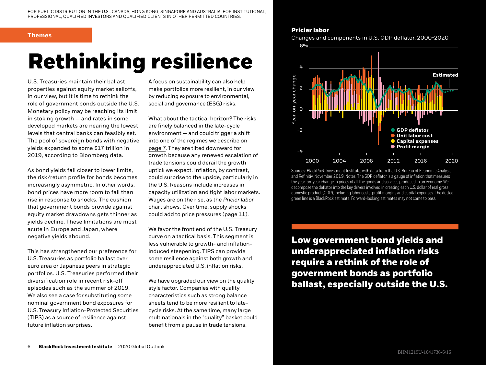## **Themes**

# **Rethinking resilience**

U.S. Treasuries maintain their ballast properties against equity market selloffs, in our view, but it is time to rethink the role of government bonds outside the U.S. Monetary policy may be reaching its limit in stoking growth — and rates in some developed markets are nearing the lowest levels that central banks can feasibly set. The pool of sovereign bonds with negative yields expanded to some \$17 trillion in 2019, according to Bloomberg data.

As bond yields fall closer to lower limits, the risk/return profile for bonds becomes increasingly asymmetric. In other words, bond prices have more room to fall than rise in response to shocks. The cushion that government bonds provide against equity market drawdowns gets thinner as yields decline. These limitations are most acute in Europe and Japan, where negative yields abound.

This has strengthened our preference for U.S. Treasuries as portfolio ballast over euro area or Japanese peers in strategic portfolios. U.S. Treasuries performed their diversification role in recent risk-off episodes such as the summer of 2019. We also see a case for substituting some nominal government bond exposures for U.S. Treasury Inflation-Protected Securities (TIPS) as a source of resilience against future inflation surprises.

A focus on sustainability can also help make portfolios more resilient, in our view, by reducing exposure to environmental, social and governance (ESG) risks.

What about the tactical horizon? The risks are finely balanced in the late-cycle environment — and could trigger a shift into one of the regimes we describe on page 7. They are tilted downward for growth because any renewed escalation of trade tensions could derail the growth uptick we expect. Inflation, by contrast, could surprise to the upside, particularly in the U.S. Reasons include increases in capacity utilization and tight labor markets. Wages are on the rise, as the *Pricier labor* chart shows. Over time, supply shocks could add to price pressures (page 11).

We favor the front end of the U.S. Treasury curve on a tactical basis. This segment is less vulnerable to growth- and inflationinduced steepening. TIPS can provide some resilience against both growth and underappreciated U.S. inflation risks.

We have upgraded our view on the quality style factor. Companies with quality characteristics such as strong balance sheets tend to be more resilient to latecycle risks. At the same time, many large multinationals in the "quality" basket could benefit from a pause in trade tensions.

# **Pricier labor**

Changes and components in U.S. GDP deflator, 2000-2020



Sources: BlackRock Investment Institute, with data from the U.S. Bureau of Economic Analysis and Refinitiv, November 2019. Notes: The GDP deflator is a gauge of inflation that measures the year-on-year change in prices of all the goods and services produced in an economy. We decompose the deflator into the key drivers involved in creating each U.S. dollar of real gross domestic product (GDP), including labor costs, profit margins and capital expenses. The dotted green line is a BlackRock estimate. Forward-looking estimates may not come to pass.

**Low government bond yields and underappreciated inflation risks require a rethink of the role of government bonds as portfolio ballast, especially outside the U.S.**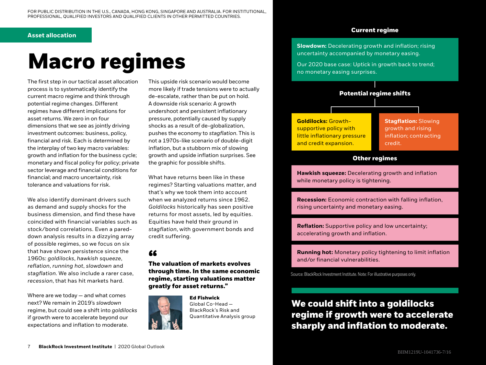# **Asset allocation**

# **Macro regimes**

The first step in our tactical asset allocation process is to systematically identify the current macro regime and think through potential regime changes. Different regimes have different implications for asset returns. We zero in on four dimensions that we see as jointly driving investment outcomes: business, policy, financial and risk. Each is determined by the interplay of two key macro variables: growth and inflation for the business cycle; monetary and fiscal policy for policy; private sector leverage and financial conditions for financial; and macro uncertainty, risk tolerance and valuations for risk.

We also identify dominant drivers such as demand and supply shocks for the business dimension, and find these have coincided with financial variables such as stock/bond correlations. Even a pareddown analysis results in a dizzying array of possible regimes, so we focus on six that have shown persistence since the 1960s: *goldilocks*, *hawkish squeeze*, *reflation*, *running hot*, *slowdown* and *stagflation.* We also include a rarer case, *recession*, that has hit markets hard.

Where are we today — and what comes next? We remain in 2019's *slowdown* regime, but could see a shift into *goldilocks* if growth were to accelerate beyond our expectations and inflation to moderate.

This upside risk scenario would become more likely if trade tensions were to actually de-escalate, rather than be put on hold. A downside risk scenario: A growth undershoot and persistent inflationary pressure, potentially caused by supply shocks as a result of de-globalization, pushes the economy to *stagflation*. This is not a 1970s-like scenario of double-digit inflation, but a stubborn mix of slowing growth and upside inflation surprises. See the graphic for possible shifts.

What have returns been like in these regimes? Starting valuations matter, and that's why we took them into account when we analyzed returns since 1962. *Goldilocks* historically has seen positive returns for most assets, led by equities. Equities have held their ground in *stagflation*, with government bonds and credit suffering.

**The valuation of markets evolves " through time. In the same economic regime, starting valuations matter greatly for asset returns."**



**Ed Fishwick** Global Co-Head — BlackRock's Risk and Quantitative Analysis group

# **Current regime**

**Slowdown:** Decelerating growth and inflation; rising uncertainty accompanied by monetary easing.

Our 2020 base case: Uptick in growth back to trend; no monetary easing surprises.

# **Potential regime shifts**

**Goldilocks:** Growthsupportive policy with little inflationary pressure and credit expansion.

**Stagflation:** Slowing growth and rising inflation; contracting credit.

# **Other regimes**

**Hawkish squeeze:** Decelerating growth and inflation while monetary policy is tightening.

**Recession:** Economic contraction with falling inflation, rising uncertainty and monetary easing.

**Reflation:** Supportive policy and low uncertainty; accelerating growth and inflation.

**Running hot:** Monetary policy tightening to limit inflation and/or financial vulnerabilities.

Source: BlackRock Investment Institute. Note: For illustrative purposes only.

# **We could shift into a goldilocks regime if growth were to accelerate sharply and inflation to moderate.**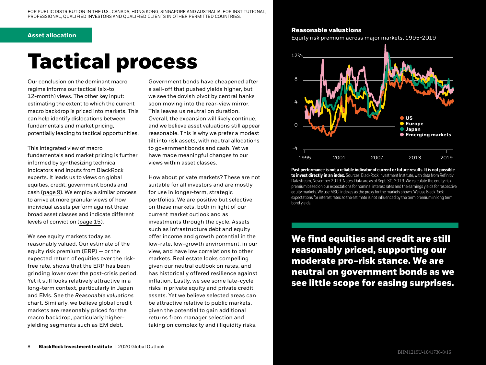## **Asset allocation**

# **Tactical process**

Our conclusion on the dominant macro regime informs our tactical (six-to 12-month) views. The other key input: estimating the extent to which the current macro backdrop is priced into markets. This can help identify dislocations between fundamentals and market pricing, potentially leading to tactical opportunities.

This integrated view of macro fundamentals and market pricing is further informed by synthesizing technical indicators and inputs from BlackRock experts. It leads us to views on global equities, credit, government bonds and cash (page 9). We employ a similar process to arrive at more granular views of how individual assets perform against these broad asset classes and indicate different levels of conviction (page 15).

We see equity markets today as reasonably valued. Our estimate of the equity risk premium (ERP) — or the expected return of equities over the riskfree rate, shows that the ERP has been grinding lower over the post-crisis period. Yet it still looks relatively attractive in a long-term context, particularly in Japan and EMs. See the *Reasonable valuations* chart. Similarly, we believe global credit markets are reasonably priced for the macro backdrop, particularly higheryielding segments such as EM debt.

Government bonds have cheapened after a sell-off that pushed yields higher, but we see the dovish pivot by central banks soon moving into the rear-view mirror. This leaves us neutral on duration. Overall, the expansion will likely continue, and we believe asset valuations still appear reasonable. This is why we prefer a modest tilt into risk assets, with neutral allocations to government bonds and cash. Yet we have made meaningful changes to our views within asset classes.

How about private markets? These are not suitable for all investors and are mostly for use in longer-term, strategic portfolios. We are positive but selective on these markets, both in light of our current market outlook and as investments through the cycle. Assets such as infrastructure debt and equity offer income and growth potential in the low-rate, low-growth environment, in our view, and have low correlations to other markets. Real estate looks compelling given our neutral outlook on rates, and has historically offered resilience against inflation. Lastly, we see some late-cycle risks in private equity and private credit assets. Yet we believe selected areas can be attractive relative to public markets, given the potential to gain additional returns from manager selection and taking on complexity and illiquidity risks.

# **Reasonable valuations**

Equity risk premium across major markets, 1995-2019



**Past performance is not a reliable indicator of current or future results. It is not possible to invest directly in an index.** Sources: BlackRock Investment Institute, with data from Refinitiv Datastream, November 2019. Notes: Data are as of Sept. 30, 2019. We calculate the equity risk premium based on our expectations for nominal interest rates and the earnings yields for respective equity markets. We use MSCI indexes as the proxy for the markets shown. We use BlackRock expectations for interest rates so the estimate is not influenced by the term premium in long term bond yields.

**We find equities and credit are still reasonably priced, supporting our moderate pro-risk stance. We are neutral on government bonds as we see little scope for easing surprises.**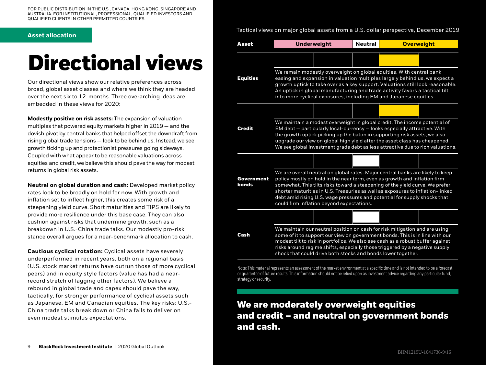FOR PUBLIC DISTRIBUTION IN THE U.S., CANADA, HONG KONG, SINGAPORE AND AUSTRALIA. FOR INSTITUTIONAL, PROFESSIONAL, QUALIFIED INVESTORS AND QUALIFIED CLIENTS IN OTHER PERMITTED COUNTRIES.

# **Directional views**

Our directional views show our relative preferences across broad, global asset classes and where we think they are headed over the next six to 12-months. Three overarching ideas are embedded in these views for 2020:

**Modestly positive on risk assets:** The expansion of valuation multiples that powered equity markets higher in 2019 — and the dovish pivot by central banks that helped offset the downdraft from rising global trade tensions — look to be behind us. Instead, we see growth ticking up and protectionist pressures going sideways. Coupled with what appear to be reasonable valuations across equities and credit, we believe this should pave the way for modest returns in global risk assets.

**Neutral on global duration and cash:** Developed market policy rates look to be broadly on hold for now. With growth and inflation set to inflect higher, this creates some risk of a steepening yield curve. Short maturities and TIPS are likely to provide more resilience under this base case. They can also cushion against risks that undermine growth, such as a breakdown in U.S.-China trade talks. Our modestly pro-risk stance overall argues for a near-benchmark allocation to cash.

**Cautious cyclical rotation:** Cyclical assets have severely underperformed in recent years, both on a regional basis (U.S. stock market returns have outrun those of more cyclical peers) and in equity style factors (value has had a nearrecord stretch of lagging other factors). We believe a rebound in global trade and capex should pave the way, tactically, for stronger performance of cyclical assets such as Japanese, EM and Canadian equities. The key risks: U.S.- China trade talks break down or China fails to deliver on even modest stimulus expectations.

**Asset allocation** Tactical views on major global assets from a U.S. dollar perspective, December 2019

| Asset               | <b>Underweight</b>                                                                                                                                                                                                                                                                                                                                                                                                                                      |  | <b>Neutral</b> |                                                                                                                                                                                                                                                                                                                                                                                             | <b>Overweight</b> |
|---------------------|---------------------------------------------------------------------------------------------------------------------------------------------------------------------------------------------------------------------------------------------------------------------------------------------------------------------------------------------------------------------------------------------------------------------------------------------------------|--|----------------|---------------------------------------------------------------------------------------------------------------------------------------------------------------------------------------------------------------------------------------------------------------------------------------------------------------------------------------------------------------------------------------------|-------------------|
|                     |                                                                                                                                                                                                                                                                                                                                                                                                                                                         |  |                |                                                                                                                                                                                                                                                                                                                                                                                             |                   |
| <b>Equities</b>     | We remain modestly overweight on global equities. With central bank<br>easing and expansion in valuation multiples largely behind us, we expect a<br>growth uptick to take over as a key support. Valuations still look reasonable.<br>An uptick in global manufacturing and trade activity favors a tactical tilt<br>into more cyclical exposures, including EM and Japanese equities.                                                                 |  |                |                                                                                                                                                                                                                                                                                                                                                                                             |                   |
|                     |                                                                                                                                                                                                                                                                                                                                                                                                                                                         |  |                |                                                                                                                                                                                                                                                                                                                                                                                             |                   |
| <b>Credit</b>       | We maintain a modest overweight in global credit. The income potential of<br>EM debt - particularly local-currency - looks especially attractive. With<br>the growth uptick picking up the baton in supporting risk assets, we also<br>upgrade our view on global high yield after the asset class has cheapened.<br>We see global investment grade debt as less attractive due to rich valuations.                                                     |  |                |                                                                                                                                                                                                                                                                                                                                                                                             |                   |
|                     |                                                                                                                                                                                                                                                                                                                                                                                                                                                         |  |                |                                                                                                                                                                                                                                                                                                                                                                                             |                   |
| Government<br>bonds | We are overall neutral on global rates. Major central banks are likely to keep<br>policy mostly on hold in the near term, even as growth and inflation firm<br>somewhat. This tilts risks toward a steepening of the yield curve. We prefer<br>shorter maturities in U.S. Treasuries as well as exposures to inflation-linked<br>debt amid rising U.S. wage pressures and potential for supply shocks that<br>could firm inflation beyond expectations. |  |                |                                                                                                                                                                                                                                                                                                                                                                                             |                   |
|                     |                                                                                                                                                                                                                                                                                                                                                                                                                                                         |  |                |                                                                                                                                                                                                                                                                                                                                                                                             |                   |
| Cash                |                                                                                                                                                                                                                                                                                                                                                                                                                                                         |  |                | We maintain our neutral position on cash for risk mitigation and are using<br>some of it to support our view on government bonds. This is in line with our<br>modest tilt to risk in portfolios. We also see cash as a robust buffer against<br>risks around regime shifts, especially those triggered by a negative supply<br>shock that could drive both stocks and bonds lower together. |                   |

Note: This material represents an assessment of the market environment at a specific time and is not intended to be a forecast or guarantee of future results. This information should not be relied upon as investment advice regarding any particular fund, strategy or security.

# **We are moderately overweight equities and credit — and neutral on government bonds and cash.**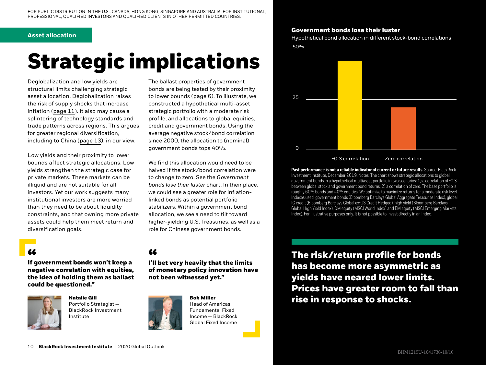## **Asset allocation**

# **Strategic implications**

Deglobalization and low yields are structural limits challenging strategic asset allocation. Deglobalization raises the risk of supply shocks that increase inflation (page 11). It also may cause a splintering of technology standards and trade patterns across regions. This argues for greater regional diversification, including to China (page 13), in our view.

Low yields and their proximity to lower bounds affect strategic allocations. Low yields strengthen the strategic case for private markets. These markets can be illiquid and are not suitable for all investors. Yet our work suggests many institutional investors are more worried than they need to be about liquidity constraints, and that owning more private assets could help them meet return and diversification goals.

**If government bonds won't keep a " " negative correlation with equities, the idea of holding them as ballast could be questioned."**



**Natalie Gill** Portfolio Strategist — BlackRock Investment Institute



We find this allocation would need to be halved if the stock/bond correlation were to change to zero. See the *Government bonds lose their luster* chart. In their place, we could see a greater role for inflationlinked bonds as potential portfolio stabilizers. Within a government bond allocation, we see a need to tilt toward higher-yielding U.S. Treasuries, as well as a role for Chinese government bonds.



**Bob Miller**  Head of Americas Fundamental Fixed Income — BlackRock Global Fixed Income

# **Government bonds lose their luster**

Hypothetical bond allocation in different stock-bond correlations 50%



Past performance is not a reliable indicator of current or future results. Source: BlackRock Investment Institute, December 2019. Notes: The chart shows strategic allocations to global government bonds in a hypothetical multiasset portfolio in two scenarios: 1) a correlation of -0.3 between global stock and government bond returns; 2) a correlation of zero. The base portfolio is roughly 60% bonds and 40% equities. We optimize to maximize returns for a moderate risk level. Indexes used: government bonds (Bloomberg Barclays Global Aggregate Treasuries Index), global IG credit (Bloomberg Barclays Global ex-US Credit Hedged), high yield (Bloomberg Barclays Global High Yield Index), DM equity (MSCI World Index) and EM equity (MSCI Emerging Markets Index). For illustrative purposes only. It is not possible to invest directly in an index.

**The risk/return profile for bonds has become more asymmetric as yields have neared lower limits. Prices have greater room to fall than rise in response to shocks.**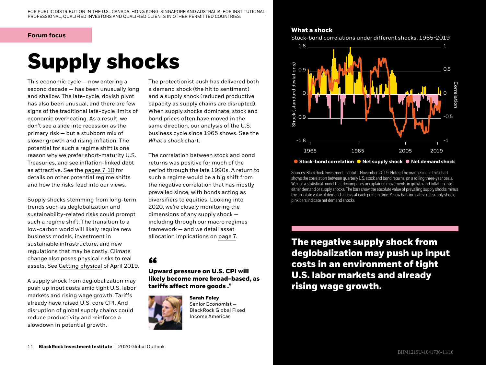## **Forum focus**

# **Supply shocks**

This economic cycle — now entering a second decade — has been unusually long and shallow. The late-cycle, dovish pivot has also been unusual, and there are few signs of the traditional late-cycle limits of economic overheating. As a result, we don't see a slide into recession as the primary risk — but a stubborn mix of slower growth and rising inflation. The potential for such a regime shift is one reason why we prefer short-maturity U.S. Treasuries, and see inflation-linked debt as attractive. See the pages 7-10 for details on other potential regime shifts and how the risks feed into our views.

Supply shocks stemming from long-term trends such as deglobalization and sustainability-related risks could prompt such a regime shift. The transition to a low-carbon world will likely require new business models, investment in sustainable infrastructure, and new regulations that may be costly. Climate change also poses physical risks to real assets. See [Getting physical](https://www.blackrock.com/us/individual/insights/blackrock-investment-institute/physical-climate-risks) of April 2019.

A supply shock from deglobalization may push up input costs amid tight U.S. labor markets and rising wage growth. Tariffs already have raised U.S. core CPI. And disruption of global supply chains could reduce productivity and reinforce a slowdown in potential growth.

The protectionist push has delivered both a demand shock (the hit to sentiment) and a supply shock (reduced productive capacity as supply chains are disrupted). When supply shocks dominate, stock and bond prices often have moved in the same direction, our analysis of the U.S. business cycle since 1965 shows. See the *What a shock* chart.

The correlation between stock and bond returns was positive for much of the period through the late 1990s. A return to such a regime would be a big shift from the negative correlation that has mostly prevailed since, with bonds acting as diversifiers to equities. Looking into 2020, we're closely monitoring the dimensions of any supply shock including through our macro regimes framework — and we detail asset allocation implications on page 7.

**Upward pressure on U.S. CPI will " likely become more broad-based, as tariffs affect more goods ."**



**Sarah Foley** Senior Economist — BlackRock Global Fixed Income Americas

# **What a shock**

Stock-bond correlations under different shocks, 1965-2019



## ● Stock-bond correlation ● Net supply shock ● Net demand shock

Sources: BlackRock Investment Institute, November 2019. Notes: The orange line in this chart shows the correlation between quarterly U.S. stock and bond returns, on a rolling three-year basis. We use a statistical model that decomposes unexplained movements in growth and inflation into either demand or supply shocks. The bars show the absolute value of prevailing supply shocks minus the absolute value of demand shocks at each point in time. Yellow bars indicate a net supply shock; pink bars indicate net demand shocks.

**The negative supply shock from deglobalization may push up input costs in an environment of tight U.S. labor markets and already rising wage growth.**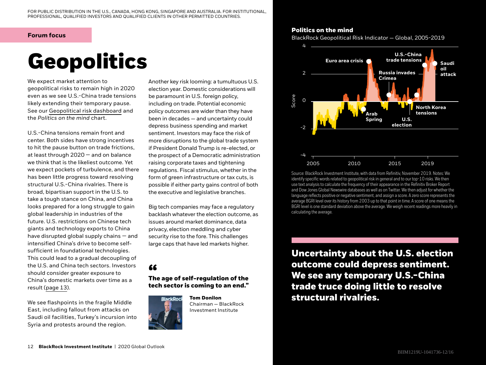## **Forum focus**

# **Geopolitics**

We expect market attention to geopolitical risks to remain high in 2020 even as we see U.S.-China trade tensions likely extending their temporary pause. See our [Geopolitical risk dashboard](https://www.blackrock.com/corporate/insights/blackrock-investment-institute/interactive-charts/geopolitical-risk-dashboard) and the *Politics on the mind* chart.

U.S.-China tensions remain front and center. Both sides have strong incentives to hit the pause button on trade frictions, at least through 2020 — and on balance we think that is the likeliest outcome. Yet we expect pockets of turbulence, and there has been little progress toward resolving structural U.S.-China rivalries. There is broad, bipartisan support in the U.S. to take a tough stance on China, and China looks prepared for a long struggle to gain global leadership in industries of the future. U.S. restrictions on Chinese tech giants and technology exports to China have disrupted global supply chains — and intensified China's drive to become selfsufficient in foundational technologies. This could lead to a gradual decoupling of the U.S. and China tech sectors. Investors should consider greater exposure to China's domestic markets over time as a result (page 13).

We see flashpoints in the fragile Middle East, including fallout from attacks on Saudi oil facilities, Turkey's incursion into Syria and protests around the region.

Another key risk looming: a tumultuous U.S. election year. Domestic considerations will be paramount in U.S. foreign policy, including on trade. Potential economic policy outcomes are wider than they have been in decades — and uncertainty could depress business spending and market sentiment. Investors may face the risk of more disruptions to the global trade system if President Donald Trump is re-elected, or the prospect of a Democratic administration raising corporate taxes and tightening regulations. Fiscal stimulus, whether in the form of green infrastructure or tax cuts, is possible if either party gains control of both the executive and legislative branches.

Big tech companies may face a regulatory backlash whatever the election outcome, as issues around market dominance, data privacy, election meddling and cyber security rise to the fore. This challenges large caps that have led markets higher.

# **The age of self-regulation of the " tech sector is coming to an end."**



**Tom Donilon** Chairman — BlackRock Investment Institute

# **Politics on the mind**

BlackRock Geopolitical Risk Indicator — Global, 2005-2019



Source: BlackRock Investment Institute, with data from Refinitiv, November 2019. Notes: We identify specific words related to geopolitical risk in general and to our top-10 risks. We then use text analysis to calculate the frequency of their appearance in the Refinitiv Broker Report and Dow Jones Global Newswire databases as well as on Twitter. We then adjust for whether the language reflects positive or negative sentiment, and assign a score. A zero score represents the average BGRI level over its history from 2003 up to that point in time. A score of one means the BGRI level is one standard deviation above the average. We weigh recent readings more heavily in calculating the average.

**Uncertainty about the U.S. election outcome could depress sentiment. We see any temporary U.S.-China trade truce doing little to resolve structural rivalries.**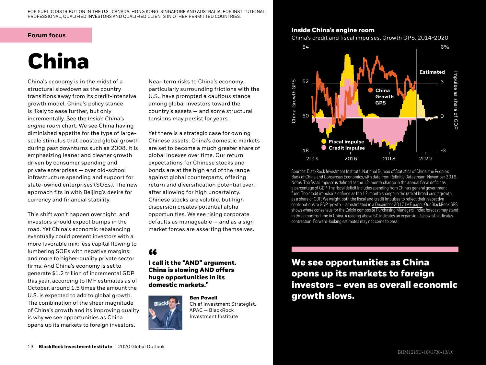FOR PUBLIC DISTRIBUTION IN THE U.S., CANADA, HONG KONG, SINGAPORE AND AUSTRALIA. FOR INSTITUTIONAL, PROFESSIONAL, QUALIFIED INVESTORS AND QUALIFIED CLIENTS IN OTHER PERMITTED COUNTRIES.

## **Forum focus**

# **China**

China's economy is in the midst of a structural slowdown as the country transitions away from its credit-intensive growth model. China's policy stance is likely to ease further, but only incrementally. See the *Inside China's engine room* chart. We see China having diminished appetite for the type of largescale stimulus that boosted global growth during past downturns such as 2008. It is emphasizing leaner and cleaner growth driven by consumer spending and private enterprises — over old-school infrastructure spending and support for state-owned enterprises (SOEs). The new approach fits in with Beijing's desire for currency and financial stability.

This shift won't happen overnight, and investors should expect bumps in the road. Yet China's economic rebalancing eventually could present investors with a more favorable mix: less capital flowing to lumbering SOEs with negative margins; and more to higher-quality private sector firms. And China's economy is set to generate \$1.2 trillion of incremental GDP this year, according to IMF estimates as of October, around 1.5 times the amount the U.S. is expected to add to global growth. The combination of the sheer magnitude of China's growth and its improving quality is why we see opportunities as China opens up its markets to foreign investors.

Near-term risks to China's economy, particularly surrounding frictions with the U.S., have prompted a cautious stance among global investors toward the country's assets — and some structural tensions may persist for years.

Yet there is a strategic case for owning Chinese assets. China's domestic markets are set to become a much greater share of global indexes over time. Our return expectations for Chinese stocks and bonds are at the high end of the range against global counterparts, offering return and diversification potential even after allowing for high uncertainty. Chinese stocks are volatile, but high dispersion creates potential alpha opportunities. We see rising corporate defaults as manageable — and as a sign market forces are asserting themselves.

**I call it the "AND" argument. " China is slowing AND offers huge opportunities in its domestic markets."**



**Ben Powell** Chief Investment Strategist, APAC — BlackRock Investment Institute

# **Inside China's engine room**

China's credit and fiscal impulses, Growth GPS, 2014-2020



Sources: BlackRock Investment Institute, National Bureau of Statistics of China, the People's Bank of China and Consensus Economics, with data from Refinitiv Datastream, November 2019. Notes: The fiscal impulse is defined as the 12-month change in the annual fiscal deficit as a percentage of GDP. The fiscal deficit includes spending from China's general government fund. The credit impulse is defined as the 12-month change in the rate of broad credit growth as a share of GDP. We weight both the fiscal and credit impulses to reflect their respective contributions to GDP growth — as estimated in [a December 2017 IMF paper.](https://www.imf.org/en/Publications/WP/Issues/2017/12/12/Credit-and-Fiscal-Multipliers-in-China-45460) Our BlackRock GPS shows where consensus for the Caixin composite Purchasing Managers' Index forecast may stand in three months' time in China. A reading above 50 indicates an expansion; below 50 indicates contraction. Forward-looking estimates may not come to pass.

**We see opportunities as China opens up its markets to foreign investors — even as overall economic growth slows.**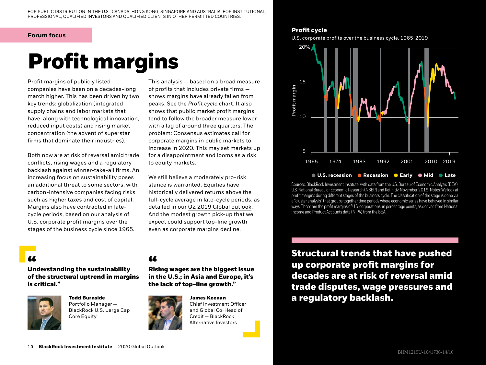# **Forum focus Profit cycle**

# **Profit margins**

Profit margins of publicly listed companies have been on a decades-long march higher. This has been driven by two key trends: globalization (integrated supply chains and labor markets that have, along with technological innovation, reduced input costs) and rising market concentration (the advent of superstar firms that dominate their industries).

Both now are at risk of reversal amid trade conflicts, rising wages and a regulatory backlash against winner-take-all firms. An increasing focus on sustainability poses an additional threat to some sectors, with carbon-intensive companies facing risks such as higher taxes and cost of capital. Margins also have contracted in latecycle periods, based on our analysis of U.S. corporate profit margins over the stages of the business cycle since 1965.

This analysis — based on a broad measure of profits that includes private firms shows margins have already fallen from peaks. See the *Profit cycle* chart. It also shows that public market profit margins tend to follow the broader measure lower with a lag of around three quarters. The problem: Consensus estimates call for corporate margins in public markets to increase in 2020. This may set markets up for a disappointment and looms as a risk to equity markets.

We still believe a moderately pro-risk stance is warranted. Equities have historically delivered returns above the full-cycle average in late-cycle periods, as detailed in our [Q2 2019 Global outlook.](https://www.blackrock.com/corporate/literature/whitepaper/bii-global-investment-outlook-q2-2019.pdf) And the modest growth pick-up that we expect could support top-line growth even as corporate margins decline.

**Understanding the sustainability " " of the structural uptrend in margins is critical."**



**Todd Burnside** Portfolio Manager — BlackRock U.S. Large Cap Core Equity

**Rising wages are the biggest issue in the U.S.; in Asia and Europe, it's the lack of top-line growth."** 



**James Keenan**  Chief Investment Officer and Global Co-Head of Credit — BlackRock Alternative Investors

U.S. corporate profits over the business cycle, 1965-2019



## **U.S. recession Recession Early Mid Late**

Sources: BlackRock Investment Institute, with data from the U.S. Bureau of Economic Analysis (BEA), U.S. National Bureau of Economic Research (NBER) and Refinitiv, November 2019. Notes: We look at profit margins during different stages of the business cycle. The classification of the stage is done via a "cluster analysis" that groups together time periods where economic series have behaved in similar ways. These are the profit margins of U.S. corporations, in percentage points, as derived from National Income and Product Accounts data (NIPA) from the BEA.

**Structural trends that have pushed up corporate profit margins for decades are at risk of reversal amid trade disputes, wage pressures and a regulatory backlash.**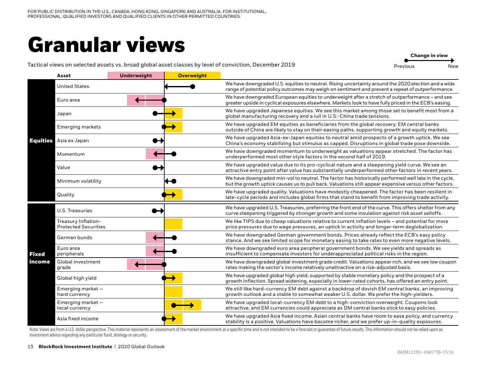# **Granular views**

**Change in view**

## Tactical views on selected assets vs. broad global asset classes by level of conviction, December 2019

Previous New

|                 | Asset                                              | <b>Underweight</b> | <b>Overweight</b> |                                                                                                                                                                                                               |
|-----------------|----------------------------------------------------|--------------------|-------------------|---------------------------------------------------------------------------------------------------------------------------------------------------------------------------------------------------------------|
| <b>Equities</b> | <b>United States</b>                               |                    |                   | We have downgraded U.S. equities to neutral. Rising uncertainty around the 2020 election and a wide<br>range of potential policy outcomes may weigh on sentiment and prevent a repeat of outperformance.      |
|                 | Euro area                                          |                    |                   | We have downgraded European equities to underweight after a stretch of outperformance – and see<br>greater upside in cyclical exposures elsewhere. Markets look to have fully priced in the ECB's easing.     |
|                 | Japan                                              |                    |                   | We have upgraded Japanese equities. We see this market among those set to benefit most from a<br>global manufacturing recovery and a lull in U.S.-China trade tensions.                                       |
|                 | <b>Emerging markets</b>                            |                    |                   | We have upgraded EM equities as beneficiaries from the global recovery. EM central banks<br>outside of China are likely to stay on their easing paths, supporting growth and equity markets.                  |
|                 | Asia ex Japan                                      |                    |                   | We have upgraded Asia-ex-Japan equities to neutral amid prospects of a growth uptick. We see<br>China's economy stabilizing but stimulus as capped. Disruptions in global trade pose downside.                |
|                 | Momentum                                           |                    |                   | We have downgraded momentum to underweight as valuations appear stretched. The factor has<br>underperformed most other style factors in the second half of 2019.                                              |
|                 | Value                                              |                    |                   | We have upgraded value due to its pro-cyclical nature and a steepening yield curve. We see an<br>attractive entry point after value has substantially underperformed other factors in recent years.           |
|                 | Minimum volatility                                 |                    |                   | We have downgraded min-vol to neutral. The factor has historically performed well late in the cycle,<br>but the growth uptick causes us to pull back. Valuations still appear expensive versus other factors. |
|                 | Quality                                            |                    |                   | We have upgraded quality. Valuations have modestly cheapened. The factor has been resilient in<br>late-cycle periods and includes global firms that stand to benefit from improving trade activity.           |
|                 | <b>U.S. Treasuries</b>                             |                    |                   | We have upgraded U.S. Treasuries, preferring the front end of the curve. This offers shelter from any<br>curve steepening triggered by stronger growth and some insulation against risk asset selloffs.       |
|                 | Treasury Inflation-<br><b>Protected Securities</b> |                    |                   | We like TIPS due to cheap valuations relative to current inflation levels – and potential for more<br>price pressures due to wage pressures, an uptick in activity and longer-term deglobalization.           |
|                 | German bunds                                       |                    |                   | We have downgraded German government bonds. Prices already reflect the ECB's easy policy<br>stance. And we see limited scope for monetary easing to take rates to even more negative levels.                  |
| <b>Fixed</b>    | Euro area<br>peripherals                           |                    |                   | We have downgraded euro area peripheral government bonds. We see yields and spreads as<br>insufficient to compensate investors for underappreciated political risks in the region.                            |
| income          | Global investment<br>grade                         |                    |                   | We have downgraded global investment grade credit. Valuations appear rich, and we see low coupon<br>rates making the sector's income relatively unattractive on a risk-adjusted basis.                        |
|                 | Global high yield                                  |                    |                   | We have upgraded global high yield, supported by stable monetary policy and the prospect of a<br>growth inflection. Spread widening, especially in lower-rated cohorts, has offered an entry point.           |
|                 | Emerging market-<br>hard currency                  |                    |                   | We still like hard-currency EM debt against a backdrop of dovish EM central banks, an improving<br>growth outlook and a stable to somewhat weaker U.S. dollar. We prefer the high-yielders.                   |
|                 | Emerging market-<br>local currency                 |                    |                   | We have upgraded local-currency EM debt to a high-conviction overweight. Coupons look<br>attractive, and EM currencies could appreciate as DM central banks stick to easy policies.                           |
|                 | Asia fixed income                                  |                    |                   | We have upgraded Asia fixed income. Asian central banks have room to ease policy, and currency<br>stability is a positive. Valuations have become richer, and we prefer up-in-quality exposures.              |

Note: Views are from a U.S. dollar perspective. This material represents an assessment of the market environment at a specific time and is not intended to be a forecast or guarantee of future results. This information shou investment advice regarding any particular fund, strategy or security.